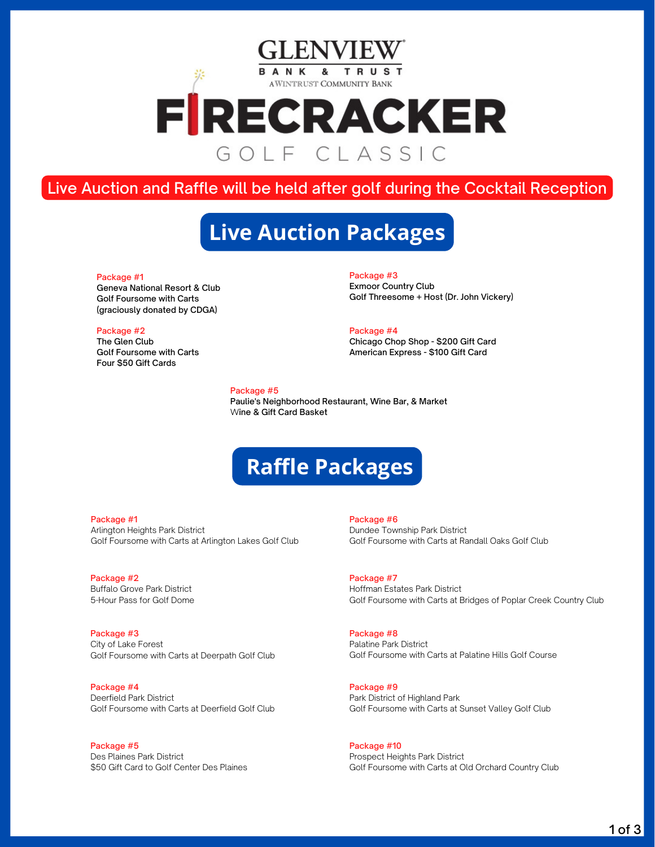## R ANK & TRUS AWINTRUST COMMUNITY BANK FRECRACKER GOIF CLASSIC

## Live Auction and Raffle will be held after golf during the Cocktail Reception

## **Live Auction Packages**

### Package #1

Geneva National Resort & Club Golf Foursome with Carts (graciously donated by CDGA)

## Package #2

The Glen Club Golf Foursome with Carts Four \$50 Gift Cards

Package #3 Exmoor Country Club Golf Threesome + Host (Dr. John Vickery)

#### Package #4

Chicago Chop Shop - \$200 Gift Card American Express - \$100 Gift Card

## Package #5

Paulie's Neighborhood Restaurant, Wine Bar, & Market Wine & Gift Card Basket

# **Raffle Packages**

Package #1 Arlington Heights Park District Golf Foursome with Carts at Arlington Lakes Golf Club

Package #2 Buffalo Grove Park District 5-Hour Pass for Golf Dome

Package #3 City of Lake Forest Golf Foursome with Carts at Deerpath Golf Club

Package #4 Deerfield Park District Golf Foursome with Carts at Deerfield Golf Club

Package #5 Des Plaines Park District \$50 Gift Card to Golf Center Des Plaines

Package #6 Dundee Township Park District Golf Foursome with Carts at Randall Oaks Golf Club

Package #7 Hoffman Estates Park District Golf Foursome with Carts at Bridges of Poplar Creek Country Club

Package #8 Palatine Park District Golf Foursome with Carts at Palatine Hills Golf Course

Package #9 Park District of Highland Park Golf Foursome with Carts at Sunset Valley Golf Club

Package #10 Prospect Heights Park District Golf Foursome with Carts at Old Orchard Country Club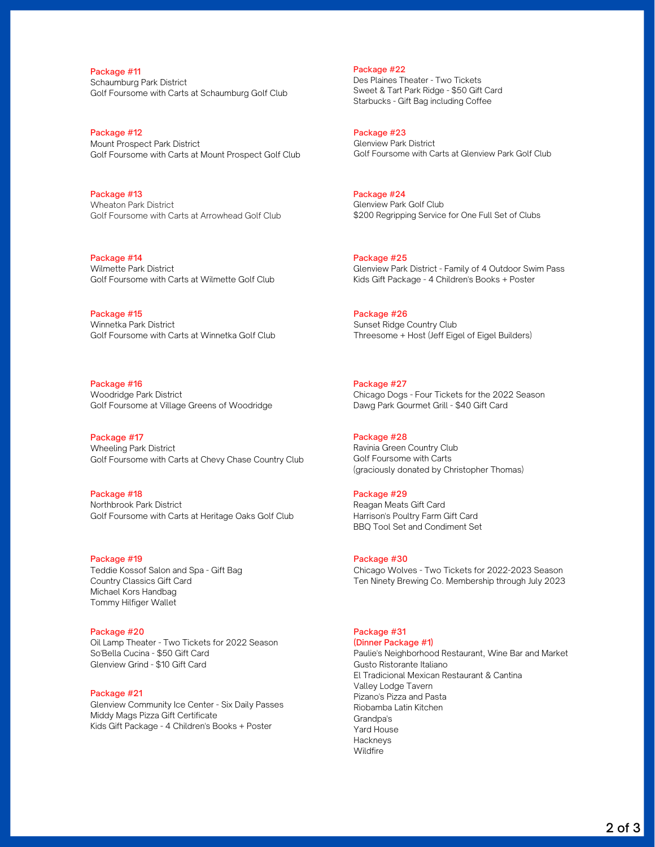Package #11 Schaumburg Park District Golf Foursome with Carts at Schaumburg Golf Club

Package #12 Mount Prospect Park District Golf Foursome with Carts at Mount Prospect Golf Club

Package #13 Wheaton Park District Golf Foursome with Carts at Arrowhead Golf Club

Package #14 Wilmette Park District Golf Foursome with Carts at Wilmette Golf Club

Package #15 Winnetka Park District Golf Foursome with Carts at Winnetka Golf Club

Package #16 Woodridge Park District Golf Foursome at Village Greens of Woodridge

Package #17 Wheeling Park District Golf Foursome with Carts at Chevy Chase Country Club

Package #18 Northbrook Park District Golf Foursome with Carts at Heritage Oaks Golf Club

Package #19 Teddie Kossof Salon and Spa - Gift Bag Country Classics Gift Card Michael Kors Handbag Tommy Hilfiger Wallet

Package #20 Oil Lamp Theater - Two Tickets for 2022 Season So'Bella Cucina - \$50 Gift Card Glenview Grind - \$10 Gift Card

## Package #21

Glenview Community Ice Center - Six Daily Passes Middy Mags Pizza Gift Certificate Kids Gift Package - 4 Children's Books + Poster

Package #22 Des Plaines Theater - Two Tickets Sweet & Tart Park Ridge - \$50 Gift Card Starbucks - Gift Bag including Coffee

Package #23 Glenview Park District Golf Foursome with Carts at Glenview Park Golf Club

Package #24 Glenview Park Golf Club \$200 Regripping Service for One Full Set of Clubs

Package #25 Glenview Park District - Family of 4 Outdoor Swim Pass Kids Gift Package - 4 Children's Books + Poster

Package #26 Sunset Ridge Country Club Threesome + Host (Jeff Eigel of Eigel Builders)

Package #27 Chicago Dogs - Four Tickets for the 2022 Season Dawg Park Gourmet Grill - \$40 Gift Card

Package #28 Ravinia Green Country Club Golf Foursome with Carts (graciously donated by Christopher Thomas)

## Package #29

Reagan Meats Gift Card Harrison's Poultry Farm Gift Card BBQ Tool Set and Condiment Set

Package #30 Chicago Wolves - Two Tickets for 2022-2023 Season Ten Ninety Brewing Co. Membership through July 2023

#### Package #31 (Dinner Package #1)

Paulie's Neighborhood Restaurant, Wine Bar and Market Gusto Ristorante Italiano El Tradicional Mexican Restaurant & Cantina Valley Lodge Tavern Pizano's Pizza and Pasta Riobamba Latin Kitchen Grandpa's Yard House Hackneys Wildfire